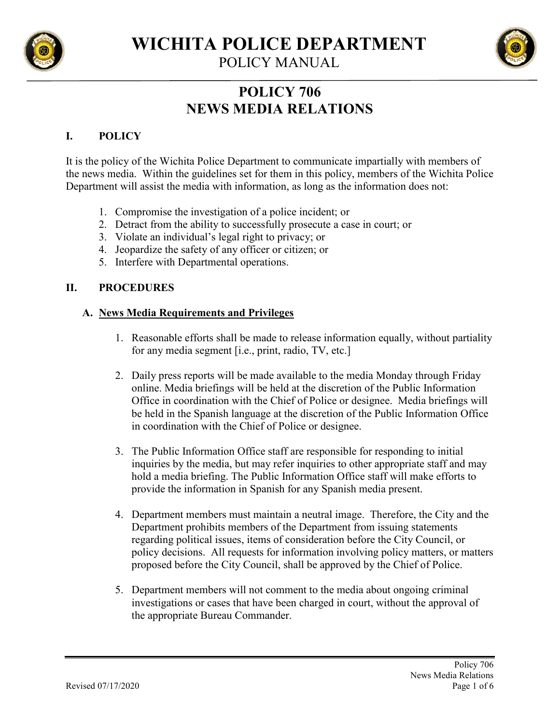

**WICHITA POLICE DEPARTMENT**

POLICY MANUAL

# **POLICY 706 NEWS MEDIA RELATIONS**

# **I. POLICY**

It is the policy of the Wichita Police Department to communicate impartially with members of the news media. Within the guidelines set for them in this policy, members of the Wichita Police Department will assist the media with information, as long as the information does not:

- 1. Compromise the investigation of a police incident; or
- 2. Detract from the ability to successfully prosecute a case in court; or
- 3. Violate an individual's legal right to privacy; or
- 4. Jeopardize the safety of any officer or citizen; or
- 5. Interfere with Departmental operations.

## **II. PROCEDURES**

## **A. News Media Requirements and Privileges**

- 1. Reasonable efforts shall be made to release information equally, without partiality for any media segment [i.e., print, radio, TV, etc.]
- 2. Daily press reports will be made available to the media Monday through Friday online. Media briefings will be held at the discretion of the Public Information Office in coordination with the Chief of Police or designee. Media briefings will be held in the Spanish language at the discretion of the Public Information Office in coordination with the Chief of Police or designee.
- 3. The Public Information Office staff are responsible for responding to initial inquiries by the media, but may refer inquiries to other appropriate staff and may hold a media briefing. The Public Information Office staff will make efforts to provide the information in Spanish for any Spanish media present.
- 4. Department members must maintain a neutral image. Therefore, the City and the Department prohibits members of the Department from issuing statements regarding political issues, items of consideration before the City Council, or policy decisions. All requests for information involving policy matters, or matters proposed before the City Council, shall be approved by the Chief of Police.
- 5. Department members will not comment to the media about ongoing criminal investigations or cases that have been charged in court, without the approval of the appropriate Bureau Commander.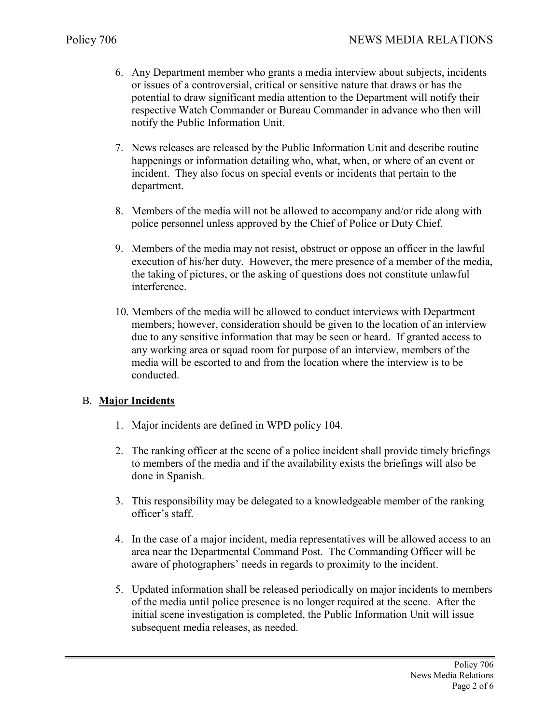- 6. Any Department member who grants a media interview about subjects, incidents or issues of a controversial, critical or sensitive nature that draws or has the potential to draw significant media attention to the Department will notify their respective Watch Commander or Bureau Commander in advance who then will notify the Public Information Unit.
- 7. News releases are released by the Public Information Unit and describe routine happenings or information detailing who, what, when, or where of an event or incident. They also focus on special events or incidents that pertain to the department.
- 8. Members of the media will not be allowed to accompany and/or ride along with police personnel unless approved by the Chief of Police or Duty Chief.
- 9. Members of the media may not resist, obstruct or oppose an officer in the lawful execution of his/her duty. However, the mere presence of a member of the media, the taking of pictures, or the asking of questions does not constitute unlawful interference.
- 10. Members of the media will be allowed to conduct interviews with Department members; however, consideration should be given to the location of an interview due to any sensitive information that may be seen or heard. If granted access to any working area or squad room for purpose of an interview, members of the media will be escorted to and from the location where the interview is to be conducted.

## B. **Major Incidents**

- 1. Major incidents are defined in WPD policy 104.
- 2. The ranking officer at the scene of a police incident shall provide timely briefings to members of the media and if the availability exists the briefings will also be done in Spanish.
- 3. This responsibility may be delegated to a knowledgeable member of the ranking officer's staff.
- 4. In the case of a major incident, media representatives will be allowed access to an area near the Departmental Command Post. The Commanding Officer will be aware of photographers' needs in regards to proximity to the incident.
- 5. Updated information shall be released periodically on major incidents to members of the media until police presence is no longer required at the scene. After the initial scene investigation is completed, the Public Information Unit will issue subsequent media releases, as needed.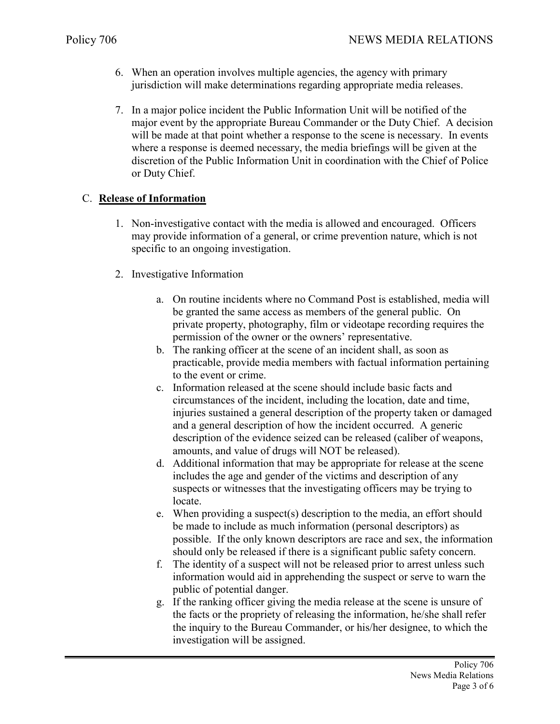- 6. When an operation involves multiple agencies, the agency with primary jurisdiction will make determinations regarding appropriate media releases.
- 7. In a major police incident the Public Information Unit will be notified of the major event by the appropriate Bureau Commander or the Duty Chief. A decision will be made at that point whether a response to the scene is necessary. In events where a response is deemed necessary, the media briefings will be given at the discretion of the Public Information Unit in coordination with the Chief of Police or Duty Chief.

### C. **Release of Information**

- 1. Non-investigative contact with the media is allowed and encouraged. Officers may provide information of a general, or crime prevention nature, which is not specific to an ongoing investigation.
- 2. Investigative Information
	- a. On routine incidents where no Command Post is established, media will be granted the same access as members of the general public. On private property, photography, film or videotape recording requires the permission of the owner or the owners' representative.
	- b. The ranking officer at the scene of an incident shall, as soon as practicable, provide media members with factual information pertaining to the event or crime.
	- c. Information released at the scene should include basic facts and circumstances of the incident, including the location, date and time, injuries sustained a general description of the property taken or damaged and a general description of how the incident occurred. A generic description of the evidence seized can be released (caliber of weapons, amounts, and value of drugs will NOT be released).
	- d. Additional information that may be appropriate for release at the scene includes the age and gender of the victims and description of any suspects or witnesses that the investigating officers may be trying to locate.
	- e. When providing a suspect(s) description to the media, an effort should be made to include as much information (personal descriptors) as possible. If the only known descriptors are race and sex, the information should only be released if there is a significant public safety concern.
	- f. The identity of a suspect will not be released prior to arrest unless such information would aid in apprehending the suspect or serve to warn the public of potential danger.
	- g. If the ranking officer giving the media release at the scene is unsure of the facts or the propriety of releasing the information, he/she shall refer the inquiry to the Bureau Commander, or his/her designee, to which the investigation will be assigned.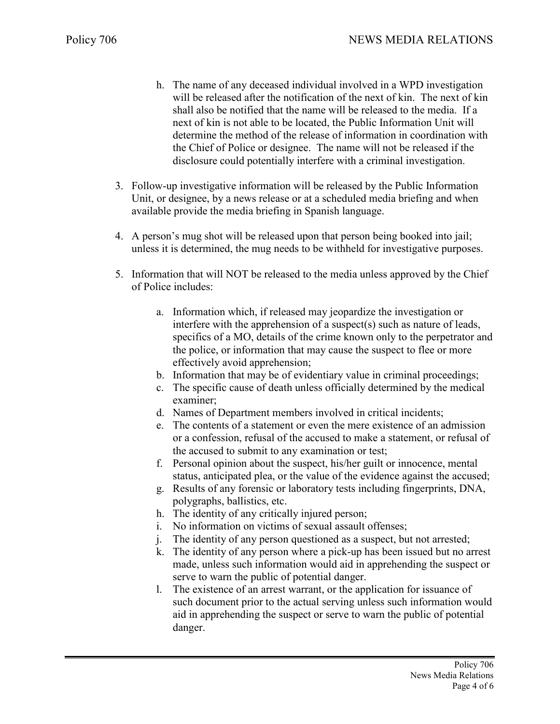- h. The name of any deceased individual involved in a WPD investigation will be released after the notification of the next of kin. The next of kin shall also be notified that the name will be released to the media. If a next of kin is not able to be located, the Public Information Unit will determine the method of the release of information in coordination with the Chief of Police or designee. The name will not be released if the disclosure could potentially interfere with a criminal investigation.
- 3. Follow-up investigative information will be released by the Public Information Unit, or designee, by a news release or at a scheduled media briefing and when available provide the media briefing in Spanish language.
- 4. A person's mug shot will be released upon that person being booked into jail; unless it is determined, the mug needs to be withheld for investigative purposes.
- 5. Information that will NOT be released to the media unless approved by the Chief of Police includes:
	- a. Information which, if released may jeopardize the investigation or interfere with the apprehension of a suspect(s) such as nature of leads, specifics of a MO, details of the crime known only to the perpetrator and the police, or information that may cause the suspect to flee or more effectively avoid apprehension;
	- b. Information that may be of evidentiary value in criminal proceedings;
	- c. The specific cause of death unless officially determined by the medical examiner;
	- d. Names of Department members involved in critical incidents;
	- e. The contents of a statement or even the mere existence of an admission or a confession, refusal of the accused to make a statement, or refusal of the accused to submit to any examination or test;
	- f. Personal opinion about the suspect, his/her guilt or innocence, mental status, anticipated plea, or the value of the evidence against the accused;
	- g. Results of any forensic or laboratory tests including fingerprints, DNA, polygraphs, ballistics, etc.
	- h. The identity of any critically injured person;
	- i. No information on victims of sexual assault offenses;
	- j. The identity of any person questioned as a suspect, but not arrested;
	- k. The identity of any person where a pick-up has been issued but no arrest made, unless such information would aid in apprehending the suspect or serve to warn the public of potential danger.
	- l. The existence of an arrest warrant, or the application for issuance of such document prior to the actual serving unless such information would aid in apprehending the suspect or serve to warn the public of potential danger.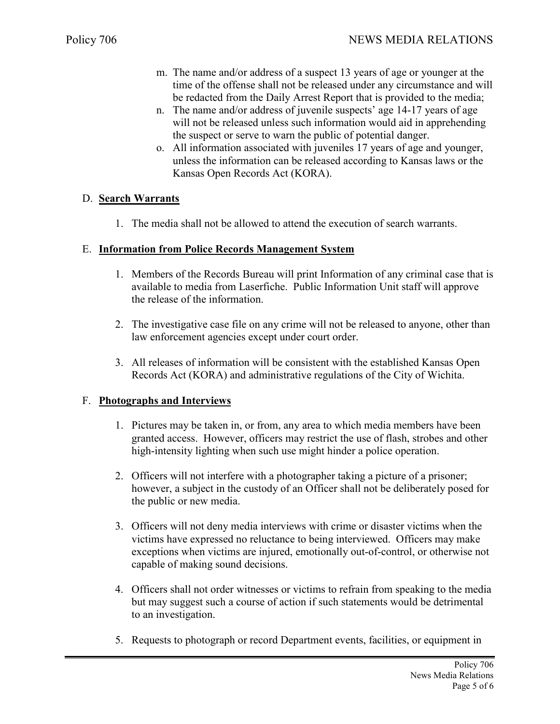- m. The name and/or address of a suspect 13 years of age or younger at the time of the offense shall not be released under any circumstance and will be redacted from the Daily Arrest Report that is provided to the media;
- n. The name and/or address of juvenile suspects' age 14-17 years of age will not be released unless such information would aid in apprehending the suspect or serve to warn the public of potential danger.
- o. All information associated with juveniles 17 years of age and younger, unless the information can be released according to Kansas laws or the Kansas Open Records Act (KORA).

### D. **Search Warrants**

1. The media shall not be allowed to attend the execution of search warrants.

#### E. **Information from Police Records Management System**

- 1. Members of the Records Bureau will print Information of any criminal case that is available to media from Laserfiche. Public Information Unit staff will approve the release of the information.
- 2. The investigative case file on any crime will not be released to anyone, other than law enforcement agencies except under court order.
- 3. All releases of information will be consistent with the established Kansas Open Records Act (KORA) and administrative regulations of the City of Wichita.

#### F. **Photographs and Interviews**

- 1. Pictures may be taken in, or from, any area to which media members have been granted access. However, officers may restrict the use of flash, strobes and other high-intensity lighting when such use might hinder a police operation.
- 2. Officers will not interfere with a photographer taking a picture of a prisoner; however, a subject in the custody of an Officer shall not be deliberately posed for the public or new media.
- 3. Officers will not deny media interviews with crime or disaster victims when the victims have expressed no reluctance to being interviewed. Officers may make exceptions when victims are injured, emotionally out-of-control, or otherwise not capable of making sound decisions.
- 4. Officers shall not order witnesses or victims to refrain from speaking to the media but may suggest such a course of action if such statements would be detrimental to an investigation.
- 5. Requests to photograph or record Department events, facilities, or equipment in